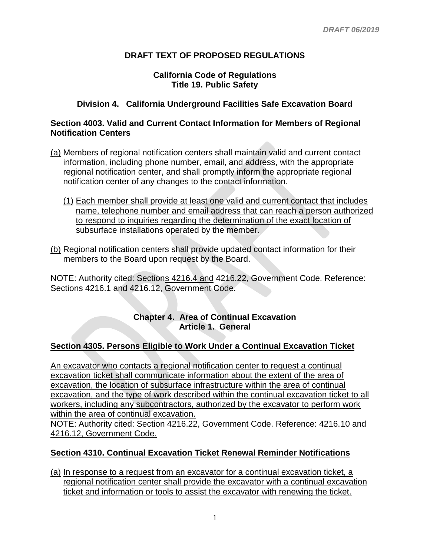# **DRAFT TEXT OF PROPOSED REGULATIONS**

#### **California Code of Regulations Title 19. Public Safety**

## **Division 4. California Underground Facilities Safe Excavation Board**

#### **Section 4003. Valid and Current Contact Information for Members of Regional Notification Centers**

- notification center of any changes to the contact information. (a) Members of regional notification centers shall maintain valid and current contact information, including phone number, email, and address, with the appropriate regional notification center, and shall promptly inform the appropriate regional
	- (1) Each member shall provide at least one valid and current contact that includes name, telephone number and email address that can reach a person authorized to respond to inquiries regarding the determination of the exact location of subsurface installations operated by the member.
- (b) Regional notification centers shall provide updated contact information for their members to the Board upon request by the Board.

NOTE: Authority cited: Sections 4216.4 and 4216.22, Government Code. Reference: Sections 4216.1 and 4216.12, Government Code.

### **Chapter 4. Area of Continual Excavation Article 1. General**

# **Section 4305. Persons Eligible to Work Under a Continual Excavation Ticket**

An excavator who contacts a regional notification center to request a continual excavation ticket shall communicate information about the extent of the area of excavation, the location of subsurface infrastructure within the area of continual excavation, and the type of work described within the continual excavation ticket to all workers, including any subcontractors, authorized by the excavator to perform work within the area of continual excavation.

NOTE: Authority cited: Section 4216.22, Government Code. Reference: 4216.10 and 4216.12, Government Code.

# **Section 4310. Continual Excavation Ticket Renewal Reminder Notifications**

(a) In response to a request from an excavator for a continual excavation ticket, a regional notification center shall provide the excavator with a continual excavation ticket and information or tools to assist the excavator with renewing the ticket.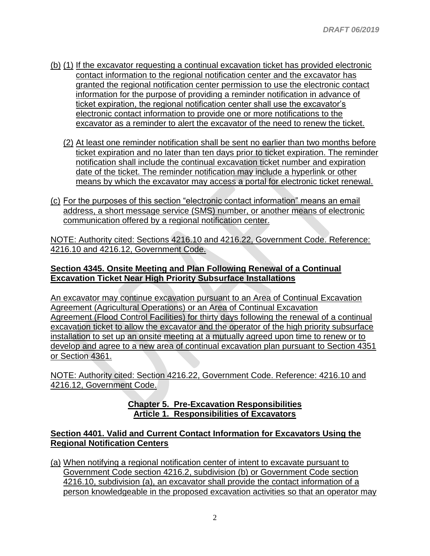- information for the purpose of providing a reminder notification in advance of  $(b)$  (1) If the excavator requesting a continual excavation ticket has provided electronic<br>context information to the regional potification contex and the excevator has contact information to the regional notification center and the excavator has granted the regional notification center permission to use the electronic contact ticket expiration, the regional notification center shall use the excavator's electronic contact information to provide one or more notifications to the excavator as a reminder to alert the excavator of the need to renew the ticket.
	- notification shall include the continual excavation ticket number and expiration (2) At least one reminder notification shall be sent no earlier than two months before ticket expiration and no later than ten days prior to ticket expiration. The reminder date of the ticket. The reminder notification may include a hyperlink or other means by which the excavator may access a portal for electronic ticket renewal.
- (c) For the purposes of this section "electronic contact information" means an email address, a short message service (SMS) number, or another means of electronic communication offered by a regional notification center.

 NOTE: Authority cited: Sections 4216.10 and 4216.22, Government Code. Reference: 4216.10 and 4216.12, Government Code.

# **Section 4345. Onsite Meeting and Plan Following Renewal of a Continual Excavation Ticket Near High Priority Subsurface Installations**

 develop and agree to a new area of continual excavation plan pursuant to Section 4351 An excavator may continue excavation pursuant to an Area of Continual Excavation Agreement (Agricultural Operations) or an Area of Continual Excavation Agreement (Flood Control Facilities) for thirty days following the renewal of a continual excavation ticket to allow the excavator and the operator of the high priority subsurface installation to set up an onsite meeting at a mutually agreed upon time to renew or to or Section 4361.

NOTE: Authority cited: Section 4216.22, Government Code. Reference: 4216.10 and 4216.12, Government Code.

### **Chapter 5. Pre-Excavation Responsibilities Article 1. Responsibilities of Excavators**

### **Section 4401. Valid and Current Contact Information for Excavators Using the Regional Notification Centers**

4216.10, subdivision (a), an excavator shall provide the contact information of a (a) When notifying a regional notification center of intent to excavate pursuant to Government Code section 4216.2, subdivision (b) or Government Code section person knowledgeable in the proposed excavation activities so that an operator may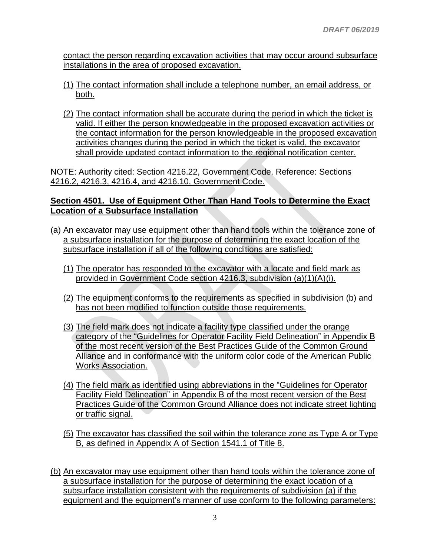contact the person regarding excavation activities that may occur around subsurface installations in the area of proposed excavation.

- (1) The contact information shall include a telephone number, an email address, or both.
- (2) The contact information shall be accurate during the period in which the ticket is valid. If either the person knowledgeable in the proposed excavation activities or the contact information for the person knowledgeable in the proposed excavation activities changes during the period in which the ticket is valid, the excavator shall provide updated contact information to the regional notification center.

NOTE: Authority cited: Section 4216.22, Government Code. Reference: Sections 4216.2, 4216.3, 4216.4, and 4216.10, Government Code.

## **Section 4501. Use of Equipment Other Than Hand Tools to Determine the Exact Location of a Subsurface Installation**

- a subsurface installation for the purpose of determining the exact location of the subsurface installation if all of the following conditions are satisfied: (a) An excavator may use equipment other than hand tools within the tolerance zone of
	- (1) The operator has responded to the excavator with a locate and field mark as provided in Government Code section 4216.3, subdivision (a)(1)(A)(i).
	- has not been modified to function outside those requirements. (2) The equipment conforms to the requirements as specified in subdivision (b) and
	- (3) The field mark does not indicate a facility type classified under the orange category of the "Guidelines for Operator Facility Field Delineation" in Appendix B of the most recent version of the Best Practices Guide of the Common Ground Alliance and in conformance with the uniform color code of the American Public Works Association.
	- (4) The field mark as identified using abbreviations in the "Guidelines for Operator Practices Guide of the Common Ground Alliance does not indicate street lighting Facility Field Delineation" in Appendix B of the most recent version of the Best or traffic signal.
	- (5) The excavator has classified the soil within the tolerance zone as Type A or Type B, as defined in Appendix A of Section 1541.1 of Title 8.
- a subsurface installation for the purpose of determining the exact location of a equipment and the equipment's manner of use conform to the following parameters: (b) An excavator may use equipment other than hand tools within the tolerance zone of subsurface installation consistent with the requirements of subdivision (a) if the